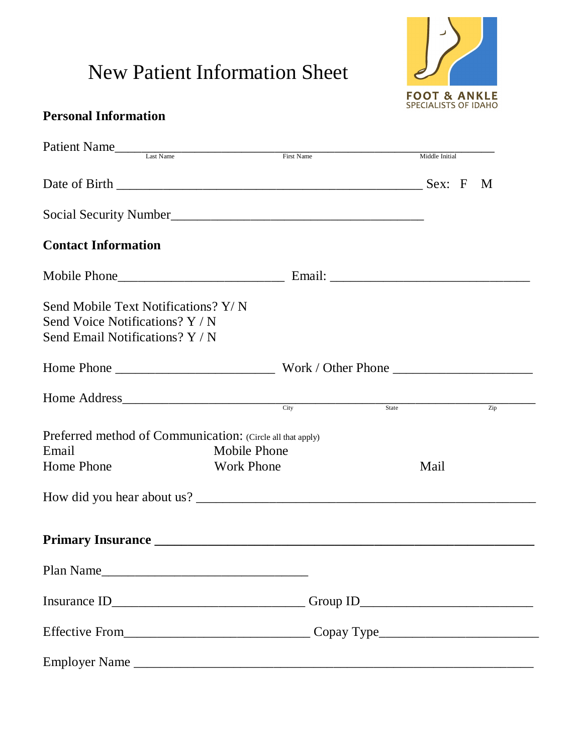## New Patient Information Sheet



## **Personal Information**

| Patient Name                                                                                              |                     |                          |                  |
|-----------------------------------------------------------------------------------------------------------|---------------------|--------------------------|------------------|
|                                                                                                           | First Name          | Middle Initial           |                  |
|                                                                                                           |                     |                          |                  |
| Social Security Number<br><u> Social Security Number</u>                                                  |                     |                          |                  |
| <b>Contact Information</b>                                                                                |                     |                          |                  |
|                                                                                                           |                     |                          |                  |
| Send Mobile Text Notifications? Y/N<br>Send Voice Notifications? Y / N<br>Send Email Notifications? Y / N |                     |                          |                  |
|                                                                                                           |                     |                          |                  |
| Home Address <u>City</u>                                                                                  |                     | $\frac{1}{\text{State}}$ | $\overline{Zip}$ |
| Preferred method of Communication: (Circle all that apply)<br>Email                                       | <b>Mobile Phone</b> |                          |                  |
| Home Phone                                                                                                | <b>Work Phone</b>   |                          |                  |
|                                                                                                           |                     |                          |                  |
|                                                                                                           |                     |                          |                  |
| Plan Name                                                                                                 |                     |                          |                  |
| Insurance ID___________________________________Group ID_________________________                          |                     |                          |                  |
|                                                                                                           |                     |                          |                  |
|                                                                                                           |                     |                          |                  |